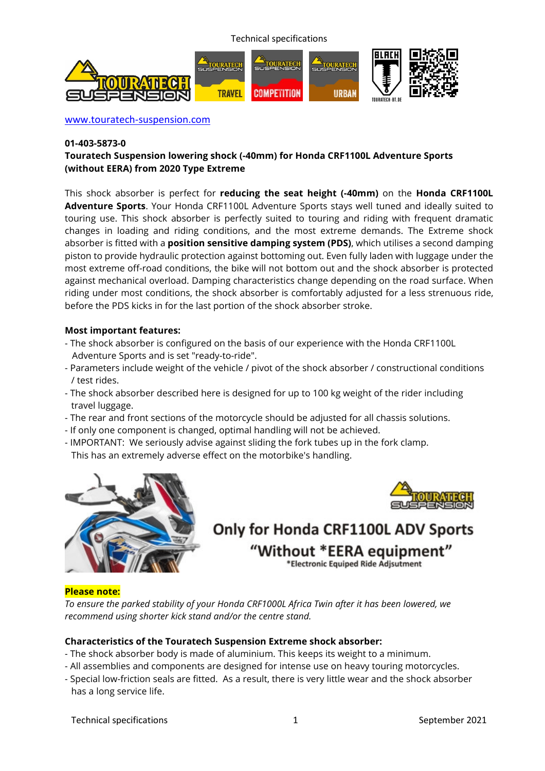Technical specifications



www.touratech-suspension.com

#### **01-403-5873-0**

# **Touratech Suspension lowering shock (-40mm) for Honda CRF1100L Adventure Sports (without EERA) from 2020 Type Extreme**

This shock absorber is perfect for **reducing the seat height (-40mm)** on the **Honda CRF1100L Adventure Sports**. Your Honda CRF1100L Adventure Sports stays well tuned and ideally suited to touring use. This shock absorber is perfectly suited to touring and riding with frequent dramatic changes in loading and riding conditions, and the most extreme demands. The Extreme shock absorber is fitted with a **position sensitive damping system (PDS)**, which utilises a second damping piston to provide hydraulic protection against bottoming out. Even fully laden with luggage under the most extreme off-road conditions, the bike will not bottom out and the shock absorber is protected against mechanical overload. Damping characteristics change depending on the road surface. When riding under most conditions, the shock absorber is comfortably adjusted for a less strenuous ride, before the PDS kicks in for the last portion of the shock absorber stroke.

#### **Most important features:**

- The shock absorber is configured on the basis of our experience with the Honda CRF1100L Adventure Sports and is set "ready-to-ride".
- Parameters include weight of the vehicle / pivot of the shock absorber / constructional conditions / test rides.
- The shock absorber described here is designed for up to 100 kg weight of the rider including travel luggage.
- The rear and front sections of the motorcycle should be adjusted for all chassis solutions.
- If only one component is changed, optimal handling will not be achieved.
- IMPORTANT: We seriously advise against sliding the fork tubes up in the fork clamp. This has an extremely adverse effect on the motorbike's handling.





# Only for Honda CRF1100L ADV Sports "Without \*EERA equipment" \*Electronic Equiped Ride Adjsutment

# **Please note:**

*To ensure the parked stability of your Honda CRF1000L Africa Twin after it has been lowered, we recommend using shorter kick stand and/or the centre stand.*

# **Characteristics of the Touratech Suspension Extreme shock absorber:**

- The shock absorber body is made of aluminium. This keeps its weight to a minimum.
- All assemblies and components are designed for intense use on heavy touring motorcycles.
- Special low-friction seals are fitted. As a result, there is very little wear and the shock absorber has a long service life.

Technical specifications and the september 2021 and the September 2021